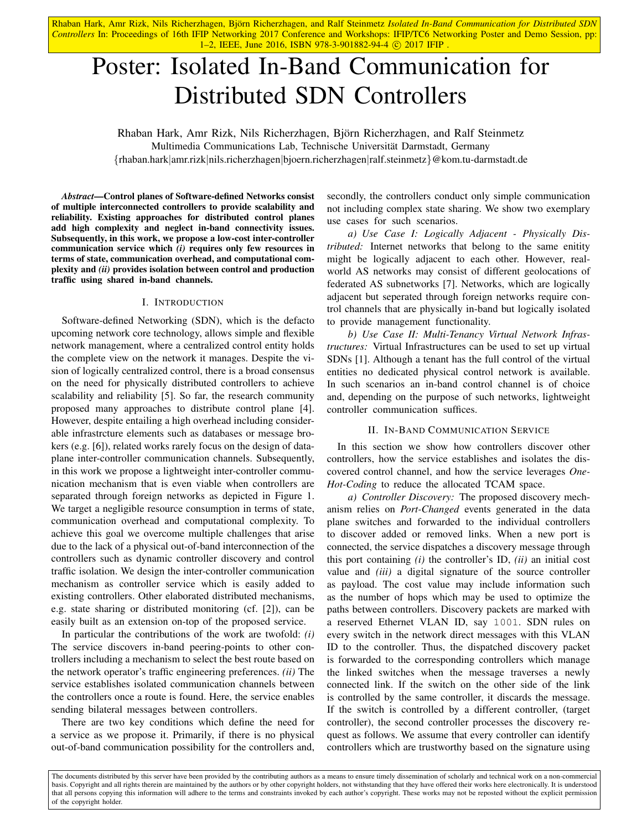Rhaban Hark, Amr Rizk, Nils Richerzhagen, Björn Richerzhagen, and Ralf Steinmetz Isolated In-Band Communication for Distributed SDN *Controllers* In: Proceedings of 16th IFIP Networking 2017 Conference and Workshops: IFIP/TC6 Networking Poster and Demo Session, pp: 1-2, IEEE, June 2016, ISBN 978-3-901882-94-4 © 2017 IFIP.

# Poster: Isolated In-Band Communication for Distributed SDN Controllers

Rhaban Hark, Amr Rizk, Nils Richerzhagen, Bjorn Richerzhagen, and Ralf Steinmetz ¨ Multimedia Communications Lab, Technische Universitat Darmstadt, Germany ¨ {rhaban.hark|amr.rizk|nils.richerzhagen|bjoern.richerzhagen|ralf.steinmetz}@kom.tu-darmstadt.de

*Abstract*—Control planes of Software-defined Networks consist of multiple interconnected controllers to provide scalability and reliability. Existing approaches for distributed control planes add high complexity and neglect in-band connectivity issues. Subsequently, in this work, we propose a low-cost inter-controller communication service which *(i)* requires only few resources in terms of state, communication overhead, and computational complexity and *(ii)* provides isolation between control and production traffic using shared in-band channels.

# I. INTRODUCTION

Software-defined Networking (SDN), which is the defacto upcoming network core technology, allows simple and flexible network management, where a centralized control entity holds the complete view on the network it manages. Despite the vision of logically centralized control, there is a broad consensus on the need for physically distributed controllers to achieve scalability and reliability [5]. So far, the research community proposed many approaches to distribute control plane [4]. However, despite entailing a high overhead including considerable infrastrcture elements such as databases or message brokers (e.g. [6]), related works rarely focus on the design of dataplane inter-controller communication channels. Subsequently, in this work we propose a lightweight inter-controller communication mechanism that is even viable when controllers are separated through foreign networks as depicted in Figure 1. We target a negligible resource consumption in terms of state, communication overhead and computational complexity. To achieve this goal we overcome multiple challenges that arise due to the lack of a physical out-of-band interconnection of the controllers such as dynamic controller discovery and control traffic isolation. We design the inter-controller communication mechanism as controller service which is easily added to existing controllers. Other elaborated distributed mechanisms, e.g. state sharing or distributed monitoring (cf. [2]), can be easily built as an extension on-top of the proposed service.

In particular the contributions of the work are twofold: *(i)* The service discovers in-band peering-points to other controllers including a mechanism to select the best route based on the network operator's traffic engineering preferences. *(ii)* The service establishes isolated communication channels between the controllers once a route is found. Here, the service enables sending bilateral messages between controllers.

There are two key conditions which define the need for a service as we propose it. Primarily, if there is no physical out-of-band communication possibility for the controllers and, secondly, the controllers conduct only simple communication not including complex state sharing. We show two exemplary use cases for such scenarios.

*a) Use Case I: Logically Adjacent - Physically Distributed:* Internet networks that belong to the same enitity might be logically adjacent to each other. However, realworld AS networks may consist of different geolocations of federated AS subnetworks [7]. Networks, which are logically adjacent but seperated through foreign networks require control channels that are physically in-band but logically isolated to provide management functionality.

*b) Use Case II: Multi-Tenancy Virtual Network Infrastructures:* Virtual Infrastructures can be used to set up virtual SDNs [1]. Although a tenant has the full control of the virtual entities no dedicated physical control network is available. In such scenarios an in-band control channel is of choice and, depending on the purpose of such networks, lightweight controller communication suffices.

### II. IN-BAND COMMUNICATION SERVICE

In this section we show how controllers discover other controllers, how the service establishes and isolates the discovered control channel, and how the service leverages *One-Hot-Coding* to reduce the allocated TCAM space.

*a) Controller Discovery:* The proposed discovery mechanism relies on *Port-Changed* events generated in the data plane switches and forwarded to the individual controllers to discover added or removed links. When a new port is connected, the service dispatches a discovery message through this port containing *(i)* the controller's ID, *(ii)* an initial cost value and *(iii)* a digital signature of the source controller as payload. The cost value may include information such as the number of hops which may be used to optimize the paths between controllers. Discovery packets are marked with a reserved Ethernet VLAN ID, say 1001. SDN rules on every switch in the network direct messages with this VLAN ID to the controller. Thus, the dispatched discovery packet is forwarded to the corresponding controllers which manage the linked switches when the message traverses a newly connected link. If the switch on the other side of the link is controlled by the same controller, it discards the message. If the switch is controlled by a different controller, (target controller), the second controller processes the discovery request as follows. We assume that every controller can identify controllers which are trustworthy based on the signature using

The documents distributed by this server have been provided by the contributing authors as a means to ensure timely dissemination of scholarly and technical work on a non-commercial basis. Copyright and all rights therein are maintained by the authors or by other copyright holders, not withstanding that they have offered their works here electronically. It is understood that all persons copying this information will adhere to the terms and constraints invoked by each author's copyright. These works may not be reposted without the explicit permission of the copyright holder.